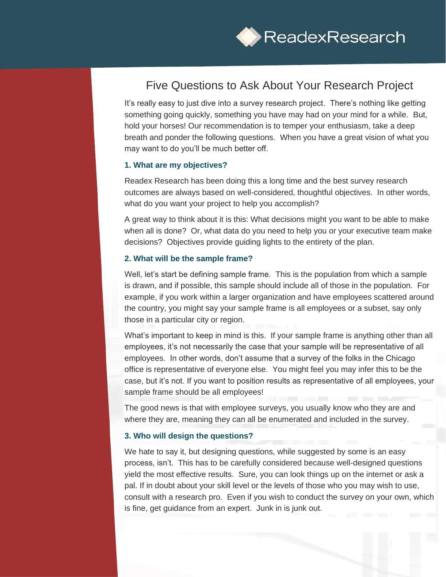

# Five Questions to Ask About Your Research Project

It's really easy to just dive into a survey research project. There's nothing like getting something going quickly, something you have may had on your mind for a while. But, hold your horses! Our recommendation is to temper your enthusiasm, take a deep breath and ponder the following questions. When you have a great vision of what you may want to do you'll be much better off.

### **1. What are my objectives?**

Readex Research has been doing this a long time and the best survey research outcomes are always based on well-considered, thoughtful objectives. In other words, what do you want your project to help you accomplish?

A great way to think about it is this: What decisions might you want to be able to make when all is done? Or, what data do you need to help you or your executive team make decisions? Objectives provide guiding lights to the entirety of the plan.

## **2. What will be the sample frame?**

Well, let's start be defining sample frame. This is the population from which a sample is drawn, and if possible, this sample should include all of those in the population. For example, if you work within a larger organization and have employees scattered around the country, you might say your sample frame is all employees or a subset, say only those in a particular city or region.

What's important to keep in mind is this. If your sample frame is anything other than all employees, it's not necessarily the case that your sample will be representative of all employees. In other words, don't assume that a survey of the folks in the Chicago office is representative of everyone else. You might feel you may infer this to be the case, but it's not. If you want to position results as representative of all employees, your sample frame should be all employees!

The good news is that with employee surveys, you usually know who they are and where they are, meaning they can all be enumerated and included in the survey.

#### **3. Who will design the questions?**

We hate to say it, but designing questions, while suggested by some is an easy process, isn't. This has to be carefully considered because well-designed questions yield the most effective results. Sure, you can look things up on the internet or ask a pal. If in doubt about your skill level or the levels of those who you may wish to use, consult with a research pro. Even if you wish to conduct the survey on your own, which is fine, get guidance from an expert. Junk in is junk out.